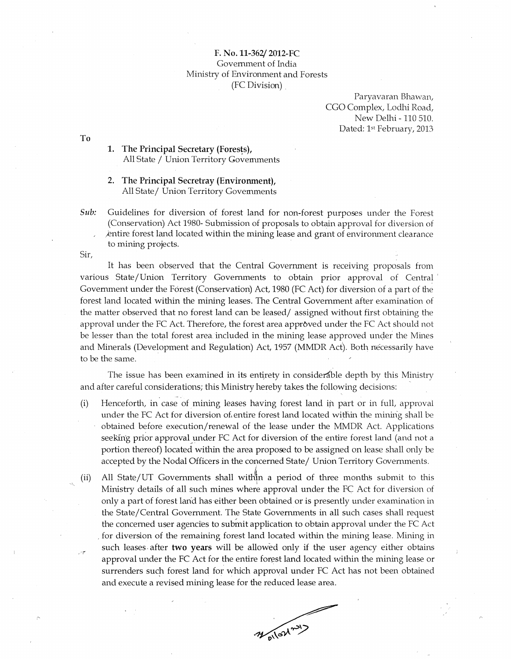## F. No. 11-362/2012-FC Government of India Ministry of Environment and Forests (FC Division)

Paryavaran Bhawan, CGO Complex, Lodhi Road, New Delhi - 110 510. Dated: 1<sup>st</sup> February, 2013

T<sub>o</sub>

1. The Principal Secretary (Forests), All State / Union Territory Governments

The Principal Secretray (Environment),  $2.$ All State/ Union Territory Govemments

Sub: Guidelines for diversion of forest land for non-forest purposes under the Forest (Conservation) Act 1980- Submission of proposals to obtain approval for diversion of entire forest land located within the mining lease and grant of environment clearance to mining projects.

Sir,

It has been observed that the Central Government is receiving proposals from various State/Union Territory Governments to obtain prior approval of Central Government under the Forest (Conservation) Act, 1980 (FC Act) for diversion of a part of the forest land located within the mining leases. The Central Government after examination of the matter observed that no forest land can be leased/ assigned without first obtaining the approval under the FC Act. Therefore, the forest area approved under the FC Act should not be lesser than the total forest area included in the mining lease approved under the Mines and Minerals (Development and Regulation) Act, 1957 (MMDR Act). Both necessarily have to be the same.

The issue has been examined in its entirety in considerable depth by this Ministry and after careful considerations; this Ministry hereby takes the following decisions:

- Henceforth, in case of mining leases having forest land in part or in full, approval  $(i)$ under the FC Act for diversion of entire forest land located within the mining shall be obtained before execution/renewal of the lease under the MMDR Act. Applications seeking prior approval under FC Act for diversion of the entire forest land (and not a portion thereof) located within the area proposed to be assigned on lease shall only be accepted by the Nodal Officers in the concerned State/ Union Territory Governments.
- All State/UT Governments shall within a period of three months submit to this  $(ii)$ Ministry details of all such mines where approval under the FC Act for diversion of only a part of forest land has either been obtained or is presently under examination in the State/Central Government. The State Governments in all such cases shall request the concerned user agencies to submit application to obtain approval under the FC Act for diversion of the remaining forest land located within the mining lease. Mining in such leases after two years will be allowed only if the user agency either obtains سيسي approval under the FC Act for the entire forest land located within the mining lease or surrenders such forest land for which approval under FC Act has not been obtained and execute a revised mining lease for the reduced lease area.

Mollowny